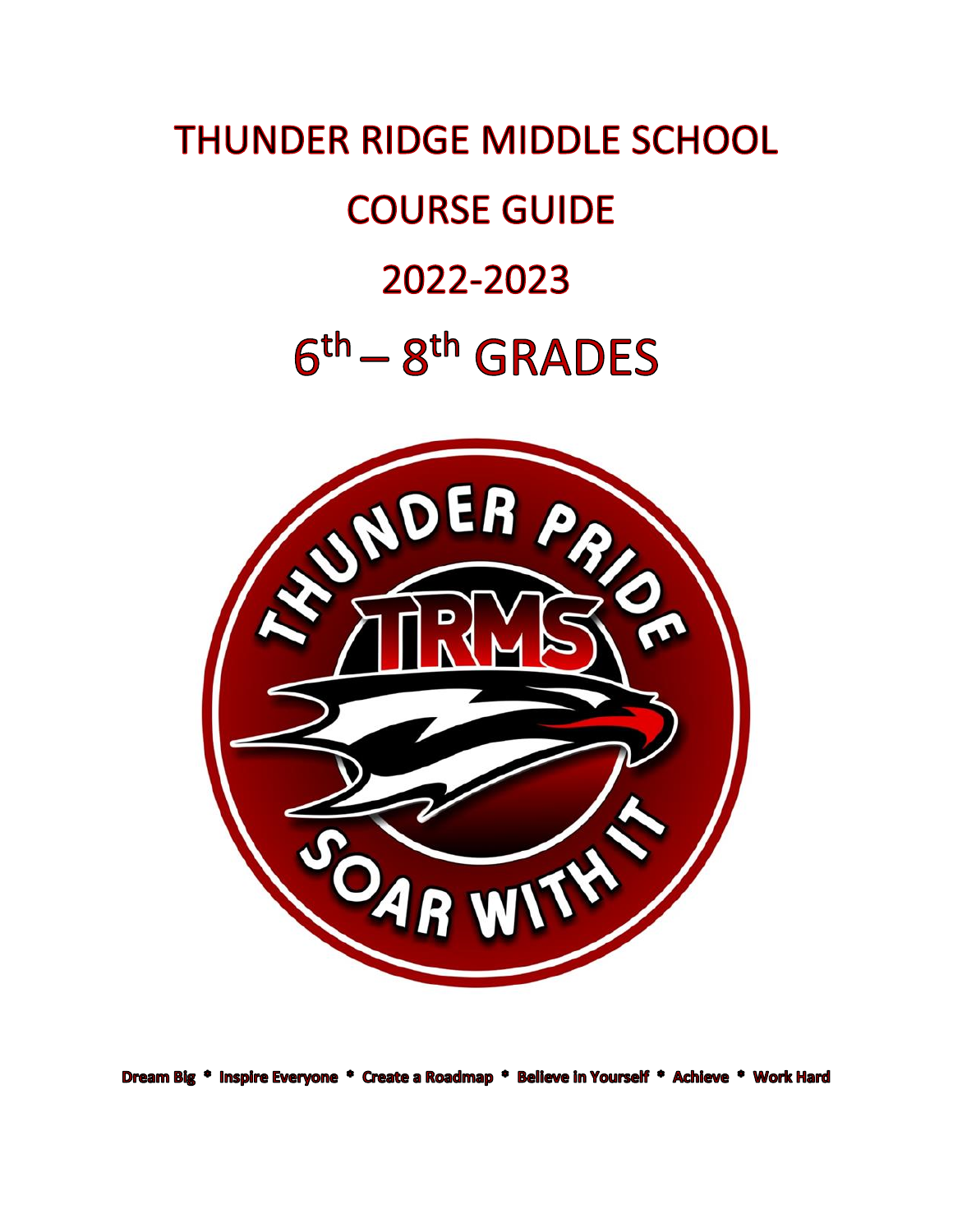# **THUNDER RIDGE MIDDLE SCHOOL COURSE GUIDE** 2022-2023  $6<sup>th</sup> - 8<sup>th</sup>$  GRADES



Dream Big \* Inspire Everyone \* Create a Roadmap \* Believe in Yourself \* Achieve \* Work Hard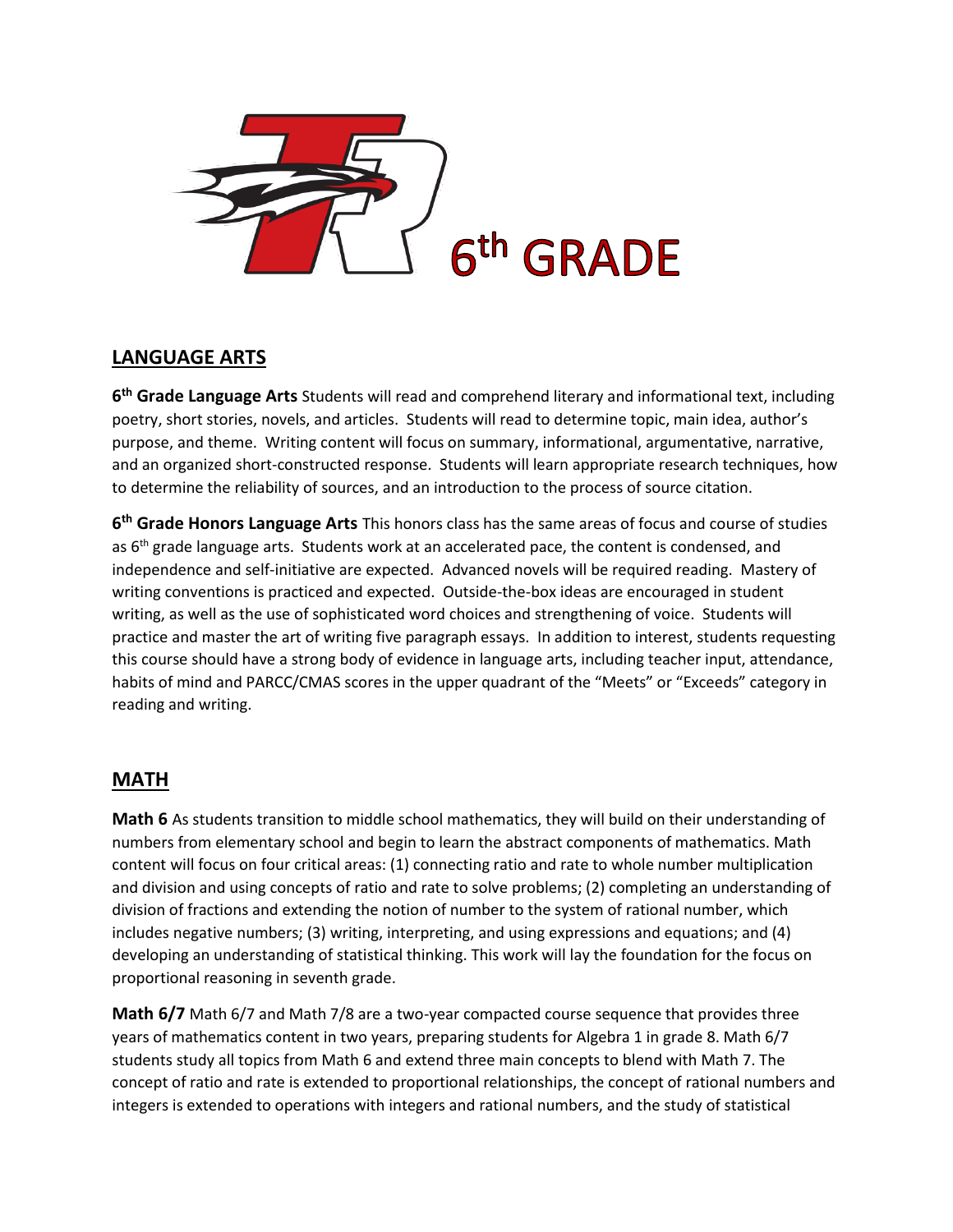

# **LANGUAGE ARTS**

**6 th Grade Language Arts** Students will read and comprehend literary and informational text, including poetry, short stories, novels, and articles. Students will read to determine topic, main idea, author's purpose, and theme. Writing content will focus on summary, informational, argumentative, narrative, and an organized short-constructed response. Students will learn appropriate research techniques, how to determine the reliability of sources, and an introduction to the process of source citation.

**6 th Grade Honors Language Arts** This honors class has the same areas of focus and course of studies as 6<sup>th</sup> grade language arts. Students work at an accelerated pace, the content is condensed, and independence and self-initiative are expected. Advanced novels will be required reading. Mastery of writing conventions is practiced and expected. Outside-the-box ideas are encouraged in student writing, as well as the use of sophisticated word choices and strengthening of voice. Students will practice and master the art of writing five paragraph essays. In addition to interest, students requesting this course should have a strong body of evidence in language arts, including teacher input, attendance, habits of mind and PARCC/CMAS scores in the upper quadrant of the "Meets" or "Exceeds" category in reading and writing.

#### **MATH**

**Math 6** As students transition to middle school mathematics, they will build on their understanding of numbers from elementary school and begin to learn the abstract components of mathematics. Math content will focus on four critical areas: (1) connecting ratio and rate to whole number multiplication and division and using concepts of ratio and rate to solve problems; (2) completing an understanding of division of fractions and extending the notion of number to the system of rational number, which includes negative numbers; (3) writing, interpreting, and using expressions and equations; and (4) developing an understanding of statistical thinking. This work will lay the foundation for the focus on proportional reasoning in seventh grade.

**Math 6/7** Math 6/7 and Math 7/8 are a two-year compacted course sequence that provides three years of mathematics content in two years, preparing students for Algebra 1 in grade 8. Math 6/7 students study all topics from Math 6 and extend three main concepts to blend with Math 7. The concept of ratio and rate is extended to proportional relationships, the concept of rational numbers and integers is extended to operations with integers and rational numbers, and the study of statistical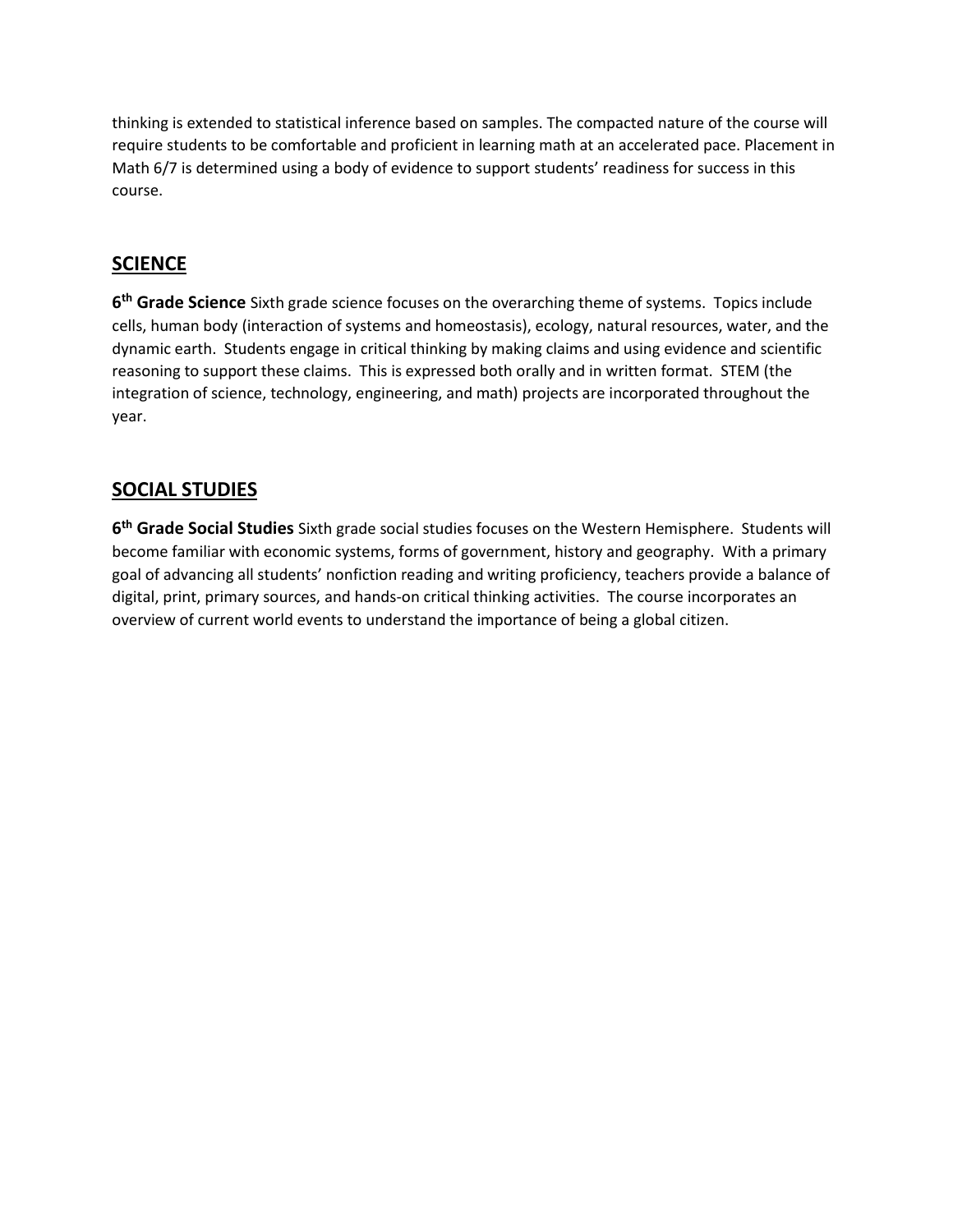thinking is extended to statistical inference based on samples. The compacted nature of the course will require students to be comfortable and proficient in learning math at an accelerated pace. Placement in Math 6/7 is determined using a body of evidence to support students' readiness for success in this course.

## **SCIENCE**

**6 th Grade Science** Sixth grade science focuses on the overarching theme of systems. Topics include cells, human body (interaction of systems and homeostasis), ecology, natural resources, water, and the dynamic earth. Students engage in critical thinking by making claims and using evidence and scientific reasoning to support these claims. This is expressed both orally and in written format. STEM (the integration of science, technology, engineering, and math) projects are incorporated throughout the year.

#### **SOCIAL STUDIES**

**6 th Grade Social Studies** Sixth grade social studies focuses on the Western Hemisphere. Students will become familiar with economic systems, forms of government, history and geography. With a primary goal of advancing all students' nonfiction reading and writing proficiency, teachers provide a balance of digital, print, primary sources, and hands-on critical thinking activities. The course incorporates an overview of current world events to understand the importance of being a global citizen.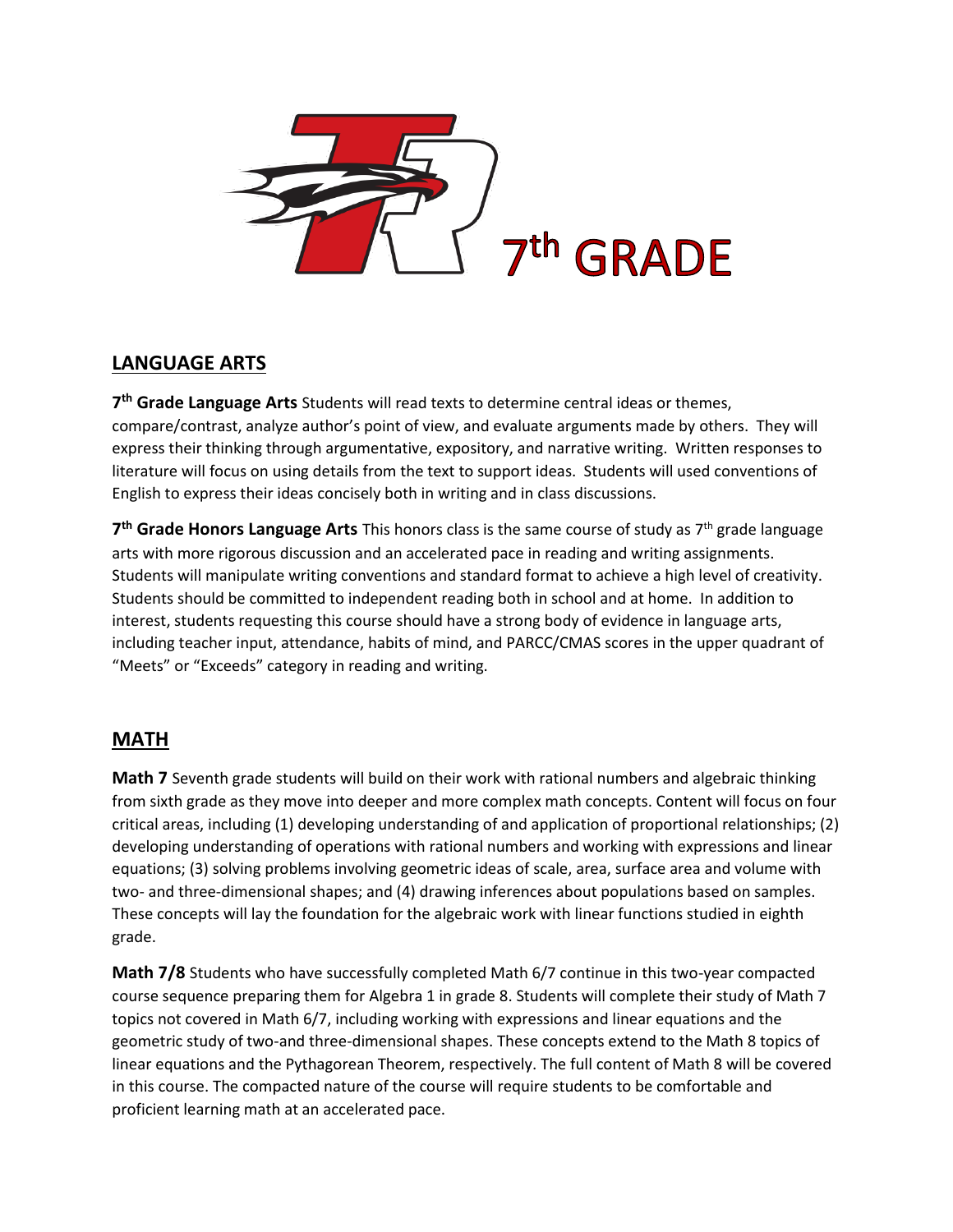

## **LANGUAGE ARTS**

**7 th Grade Language Arts** Students will read texts to determine central ideas or themes, compare/contrast, analyze author's point of view, and evaluate arguments made by others. They will express their thinking through argumentative, expository, and narrative writing. Written responses to literature will focus on using details from the text to support ideas. Students will used conventions of English to express their ideas concisely both in writing and in class discussions.

7<sup>th</sup> Grade Honors Language Arts This honors class is the same course of study as 7<sup>th</sup> grade language arts with more rigorous discussion and an accelerated pace in reading and writing assignments. Students will manipulate writing conventions and standard format to achieve a high level of creativity. Students should be committed to independent reading both in school and at home. In addition to interest, students requesting this course should have a strong body of evidence in language arts, including teacher input, attendance, habits of mind, and PARCC/CMAS scores in the upper quadrant of "Meets" or "Exceeds" category in reading and writing.

# **MATH**

**Math 7** Seventh grade students will build on their work with rational numbers and algebraic thinking from sixth grade as they move into deeper and more complex math concepts. Content will focus on four critical areas, including (1) developing understanding of and application of proportional relationships; (2) developing understanding of operations with rational numbers and working with expressions and linear equations; (3) solving problems involving geometric ideas of scale, area, surface area and volume with two- and three-dimensional shapes; and (4) drawing inferences about populations based on samples. These concepts will lay the foundation for the algebraic work with linear functions studied in eighth grade.

**Math 7/8** Students who have successfully completed Math 6/7 continue in this two-year compacted course sequence preparing them for Algebra 1 in grade 8. Students will complete their study of Math 7 topics not covered in Math 6/7, including working with expressions and linear equations and the geometric study of two-and three-dimensional shapes. These concepts extend to the Math 8 topics of linear equations and the Pythagorean Theorem, respectively. The full content of Math 8 will be covered in this course. The compacted nature of the course will require students to be comfortable and proficient learning math at an accelerated pace.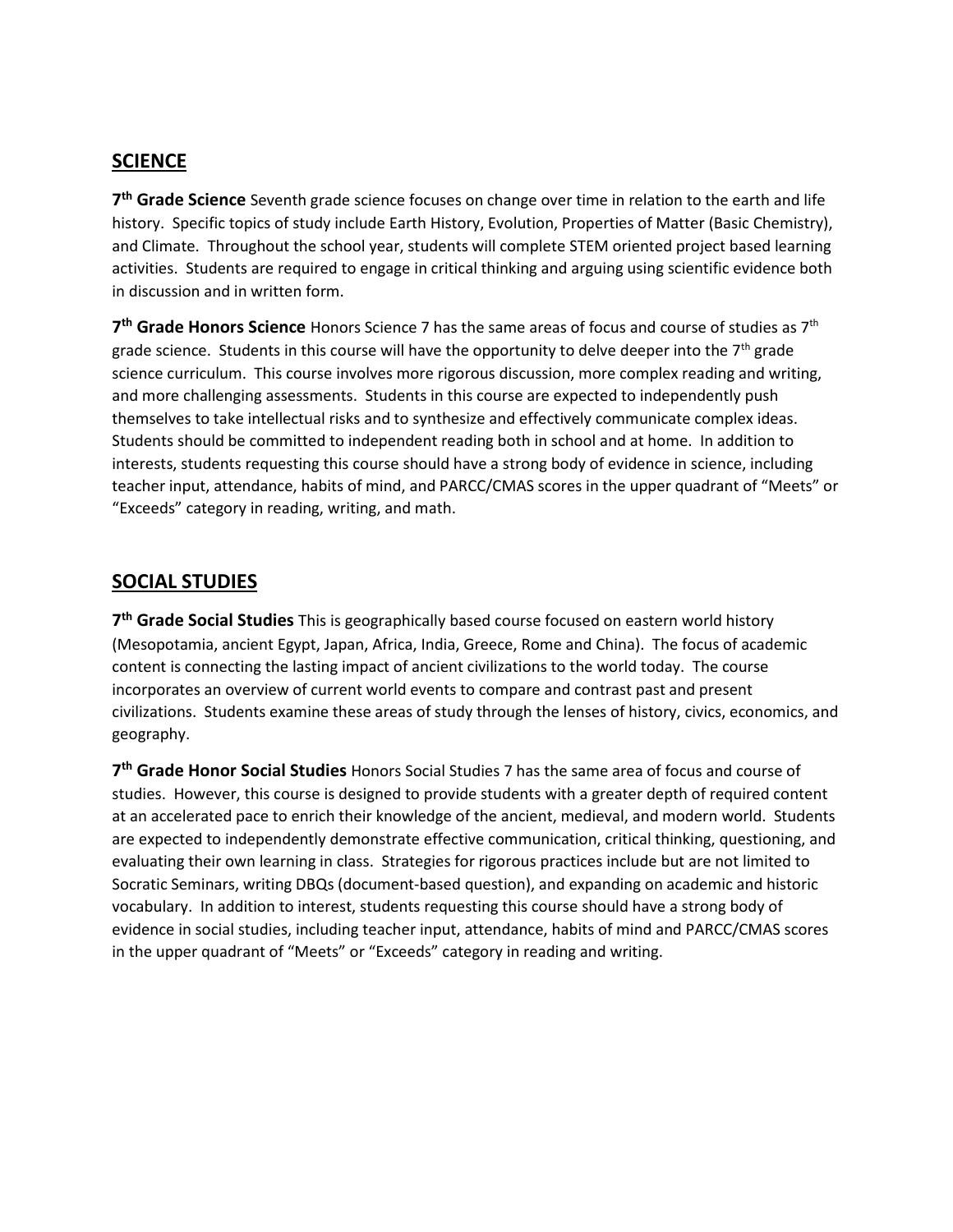#### **SCIENCE**

**7 th Grade Science** Seventh grade science focuses on change over time in relation to the earth and life history. Specific topics of study include Earth History, Evolution, Properties of Matter (Basic Chemistry), and Climate. Throughout the school year, students will complete STEM oriented project based learning activities. Students are required to engage in critical thinking and arguing using scientific evidence both in discussion and in written form.

**7 th Grade Honors Science** Honors Science 7 has the same areas of focus and course of studies as 7th grade science. Students in this course will have the opportunity to delve deeper into the  $7<sup>th</sup>$  grade science curriculum. This course involves more rigorous discussion, more complex reading and writing, and more challenging assessments. Students in this course are expected to independently push themselves to take intellectual risks and to synthesize and effectively communicate complex ideas. Students should be committed to independent reading both in school and at home. In addition to interests, students requesting this course should have a strong body of evidence in science, including teacher input, attendance, habits of mind, and PARCC/CMAS scores in the upper quadrant of "Meets" or "Exceeds" category in reading, writing, and math.

#### **SOCIAL STUDIES**

**7 th Grade Social Studies** This is geographically based course focused on eastern world history (Mesopotamia, ancient Egypt, Japan, Africa, India, Greece, Rome and China). The focus of academic content is connecting the lasting impact of ancient civilizations to the world today. The course incorporates an overview of current world events to compare and contrast past and present civilizations. Students examine these areas of study through the lenses of history, civics, economics, and geography.

**7 th Grade Honor Social Studies** Honors Social Studies 7 has the same area of focus and course of studies. However, this course is designed to provide students with a greater depth of required content at an accelerated pace to enrich their knowledge of the ancient, medieval, and modern world. Students are expected to independently demonstrate effective communication, critical thinking, questioning, and evaluating their own learning in class. Strategies for rigorous practices include but are not limited to Socratic Seminars, writing DBQs (document-based question), and expanding on academic and historic vocabulary. In addition to interest, students requesting this course should have a strong body of evidence in social studies, including teacher input, attendance, habits of mind and PARCC/CMAS scores in the upper quadrant of "Meets" or "Exceeds" category in reading and writing.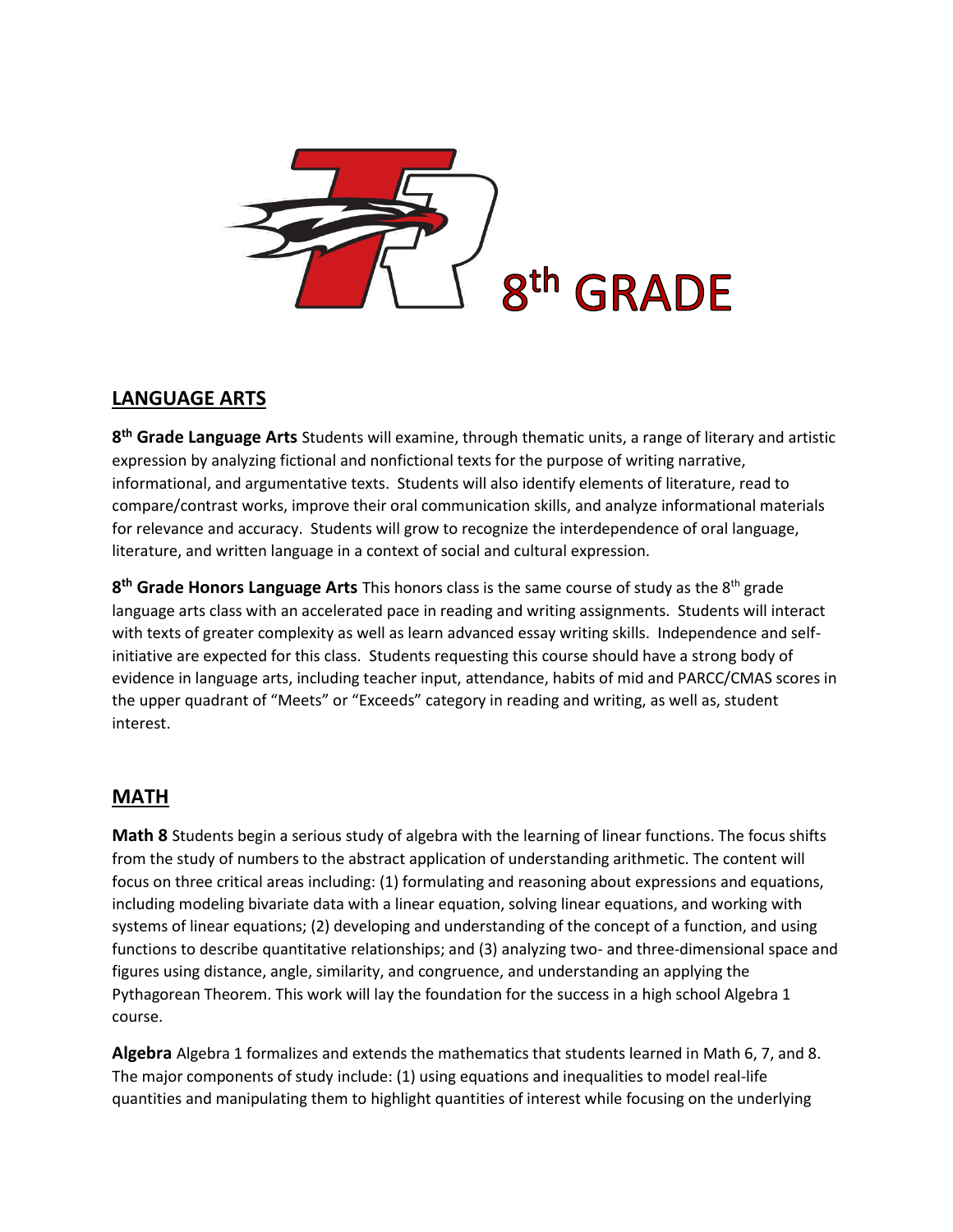

## **LANGUAGE ARTS**

**8 th Grade Language Arts** Students will examine, through thematic units, a range of literary and artistic expression by analyzing fictional and nonfictional texts for the purpose of writing narrative, informational, and argumentative texts. Students will also identify elements of literature, read to compare/contrast works, improve their oral communication skills, and analyze informational materials for relevance and accuracy. Students will grow to recognize the interdependence of oral language, literature, and written language in a context of social and cultural expression.

**8 th Grade Honors Language Arts** This honors class is the same course of study as the 8th grade language arts class with an accelerated pace in reading and writing assignments. Students will interact with texts of greater complexity as well as learn advanced essay writing skills. Independence and selfinitiative are expected for this class. Students requesting this course should have a strong body of evidence in language arts, including teacher input, attendance, habits of mid and PARCC/CMAS scores in the upper quadrant of "Meets" or "Exceeds" category in reading and writing, as well as, student interest.

# **MATH**

**Math 8** Students begin a serious study of algebra with the learning of linear functions. The focus shifts from the study of numbers to the abstract application of understanding arithmetic. The content will focus on three critical areas including: (1) formulating and reasoning about expressions and equations, including modeling bivariate data with a linear equation, solving linear equations, and working with systems of linear equations; (2) developing and understanding of the concept of a function, and using functions to describe quantitative relationships; and (3) analyzing two- and three-dimensional space and figures using distance, angle, similarity, and congruence, and understanding an applying the Pythagorean Theorem. This work will lay the foundation for the success in a high school Algebra 1 course.

**Algebra** Algebra 1 formalizes and extends the mathematics that students learned in Math 6, 7, and 8. The major components of study include: (1) using equations and inequalities to model real-life quantities and manipulating them to highlight quantities of interest while focusing on the underlying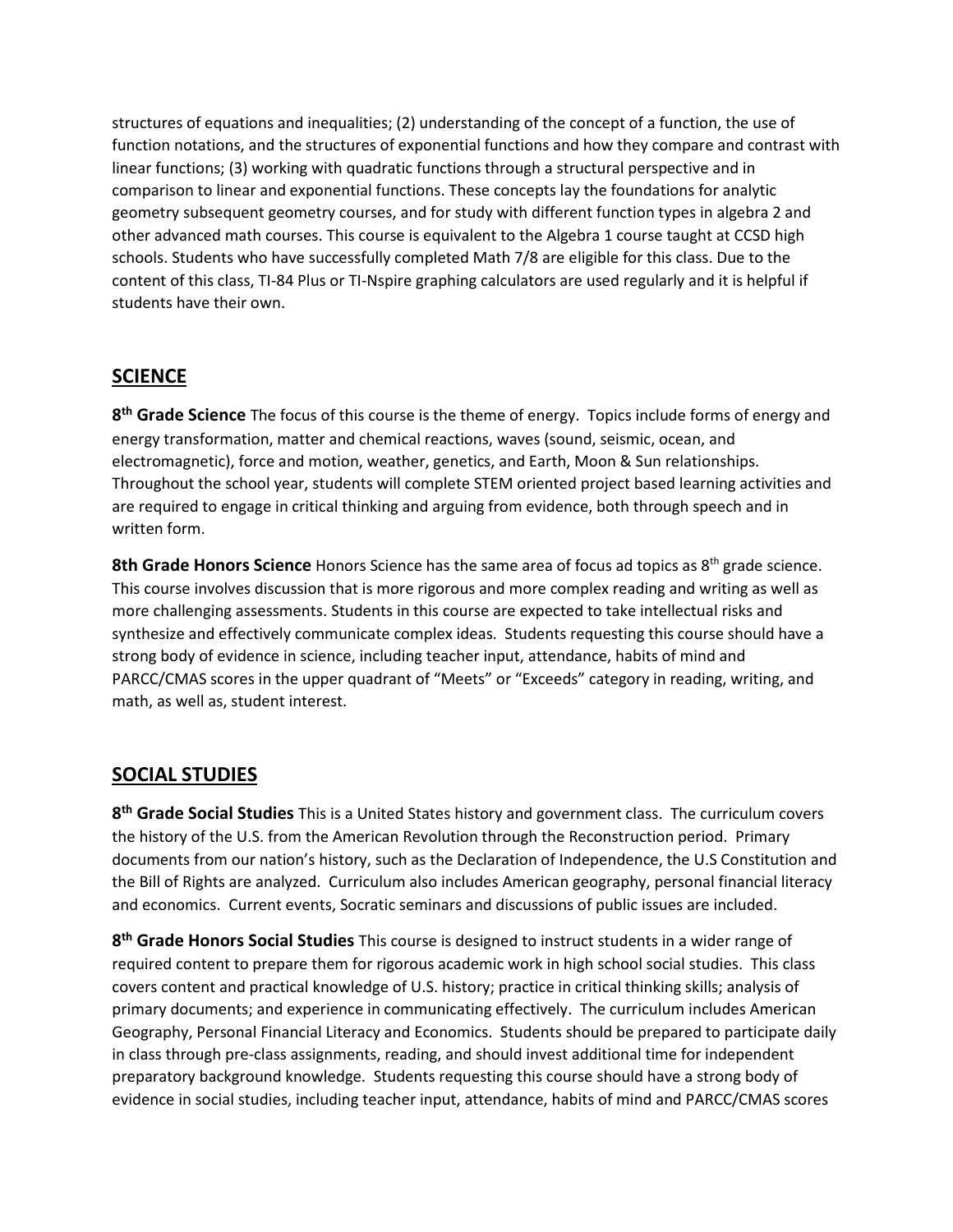structures of equations and inequalities; (2) understanding of the concept of a function, the use of function notations, and the structures of exponential functions and how they compare and contrast with linear functions; (3) working with quadratic functions through a structural perspective and in comparison to linear and exponential functions. These concepts lay the foundations for analytic geometry subsequent geometry courses, and for study with different function types in algebra 2 and other advanced math courses. This course is equivalent to the Algebra 1 course taught at CCSD high schools. Students who have successfully completed Math 7/8 are eligible for this class. Due to the content of this class, TI-84 Plus or TI-Nspire graphing calculators are used regularly and it is helpful if students have their own.

## **SCIENCE**

**8 th Grade Science** The focus of this course is the theme of energy. Topics include forms of energy and energy transformation, matter and chemical reactions, waves (sound, seismic, ocean, and electromagnetic), force and motion, weather, genetics, and Earth, Moon & Sun relationships. Throughout the school year, students will complete STEM oriented project based learning activities and are required to engage in critical thinking and arguing from evidence, both through speech and in written form.

8th Grade Honors Science Honors Science has the same area of focus ad topics as 8<sup>th</sup> grade science. This course involves discussion that is more rigorous and more complex reading and writing as well as more challenging assessments. Students in this course are expected to take intellectual risks and synthesize and effectively communicate complex ideas. Students requesting this course should have a strong body of evidence in science, including teacher input, attendance, habits of mind and PARCC/CMAS scores in the upper quadrant of "Meets" or "Exceeds" category in reading, writing, and math, as well as, student interest.

#### **SOCIAL STUDIES**

**8 th Grade Social Studies** This is a United States history and government class. The curriculum covers the history of the U.S. from the American Revolution through the Reconstruction period. Primary documents from our nation's history, such as the Declaration of Independence, the U.S Constitution and the Bill of Rights are analyzed. Curriculum also includes American geography, personal financial literacy and economics. Current events, Socratic seminars and discussions of public issues are included.

**8 th Grade Honors Social Studies** This course is designed to instruct students in a wider range of required content to prepare them for rigorous academic work in high school social studies. This class covers content and practical knowledge of U.S. history; practice in critical thinking skills; analysis of primary documents; and experience in communicating effectively. The curriculum includes American Geography, Personal Financial Literacy and Economics. Students should be prepared to participate daily in class through pre-class assignments, reading, and should invest additional time for independent preparatory background knowledge. Students requesting this course should have a strong body of evidence in social studies, including teacher input, attendance, habits of mind and PARCC/CMAS scores